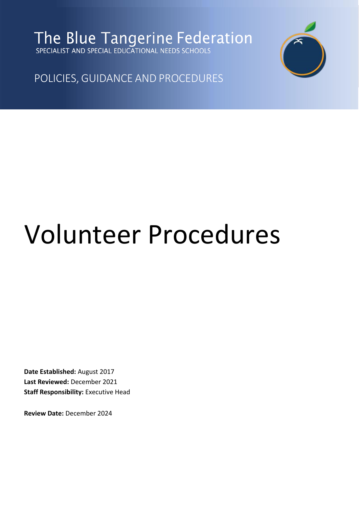The Blue Tangerine Federation



POLICIES, GUIDANCE AND PROCEDURES

# Volunteer Procedures

**Date Established:** August 2017 **Last Reviewed:** December 2021 **Staff Responsibility:** Executive Head

**Review Date:** December 2024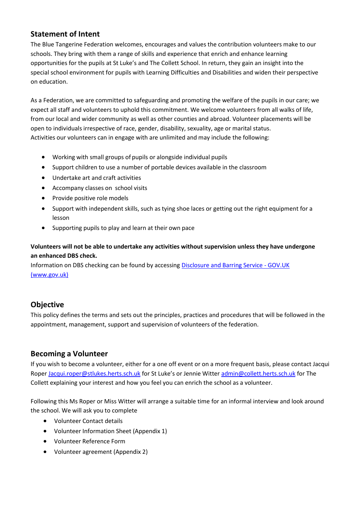## **Statement of Intent**

The Blue Tangerine Federation welcomes, encourages and values the contribution volunteers make to our schools. They bring with them a range of skills and experience that enrich and enhance learning opportunities for the pupils at St Luke's and The Collett School. In return, they gain an insight into the special school environment for pupils with Learning Difficulties and Disabilities and widen their perspective on education.

As a Federation, we are committed to safeguarding and promoting the welfare of the pupils in our care; we expect all staff and volunteers to uphold this commitment. We welcome volunteers from all walks of life, from our local and wider community as well as other counties and abroad. Volunteer placements will be open to individuals irrespective of race, gender, disability, sexuality, age or marital status. Activities our volunteers can in engage with are unlimited and may include the following:

- Working with small groups of pupils or alongside individual pupils
- Support children to use a number of portable devices available in the classroom
- Undertake art and craft activities
- Accompany classes on school visits
- Provide positive role models
- Support with independent skills, such as tying shoe laces or getting out the right equipment for a lesson
- Supporting pupils to play and learn at their own pace

#### **Volunteers will not be able to undertake any activities without supervision unless they have undergone an enhanced DBS check.**

Information on DBS checking can be found by accessing [Disclosure and Barring Service -](https://www.gov.uk/government/organisations/disclosure-and-barring-service) GOV.UK [\(www.gov.uk\)](https://www.gov.uk/government/organisations/disclosure-and-barring-service)

# **Objective**

This policy defines the terms and sets out the principles, practices and procedures that will be followed in the appointment, management, support and supervision of volunteers of the federation.

#### **Becoming a Volunteer**

If you wish to become a volunteer, either for a one off event or on a more frequent basis, please contact Jacqui Roper [Jacqui.roper@stlukes.herts.sch.uk](mailto:Jacqui.roper@stlukes.herts.sch.uk) for St Luke's or Jennie Witter [admin@collett.herts.sch.uk](mailto:admin@collett.herts.sch.uk) for The Collett explaining your interest and how you feel you can enrich the school as a volunteer.

Following this Ms Roper or Miss Witter will arrange a suitable time for an informal interview and look around the school. We will ask you to complete

- Volunteer Contact details
- Volunteer Information Sheet (Appendix 1)
- Volunteer Reference Form
- Volunteer agreement (Appendix 2)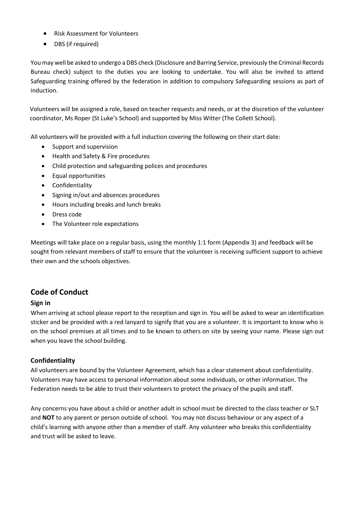- Risk Assessment for Volunteers
- DBS (if required)

You may well be asked to undergo a DBS check (Disclosure and Barring Service, previously the Criminal Records Bureau check) subject to the duties you are looking to undertake. You will also be invited to attend Safeguarding training offered by the federation in addition to compulsory Safeguarding sessions as part of induction.

Volunteers will be assigned a role, based on teacher requests and needs, or at the discretion of the volunteer coordinator, Ms Roper (St Luke's School) and supported by Miss Witter (The Collett School).

All volunteers will be provided with a full induction covering the following on their start date:

- Support and supervision
- Health and Safety & Fire procedures
- Child protection and safeguarding polices and procedures
- Equal opportunities
- Confidentiality
- Signing in/out and absences procedures
- Hours including breaks and lunch breaks
- Dress code
- The Volunteer role expectations

Meetings will take place on a regular basis, using the monthly 1:1 form (Appendix 3) and feedback will be sought from relevant members of staff to ensure that the volunteer is receiving sufficient support to achieve their own and the schools objectives.

#### **Code of Conduct**

#### **Sign in**

When arriving at school please report to the reception and sign in. You will be asked to wear an identification sticker and be provided with a red lanyard to signify that you are a volunteer. It is important to know who is on the school premises at all times and to be known to others on site by seeing your name. Please sign out when you leave the school building.

#### **Confidentiality**

All volunteers are bound by the Volunteer Agreement, which has a clear statement about confidentiality. Volunteers may have access to personal information about some individuals, or other information. The Federation needs to be able to trust their volunteers to protect the privacy of the pupils and staff.

Any concerns you have about a child or another adult in school must be directed to the class teacher or SLT and **NOT** to any parent or person outside of school. You may not discuss behaviour or any aspect of a child's learning with anyone other than a member of staff. Any volunteer who breaks this confidentiality and trust will be asked to leave.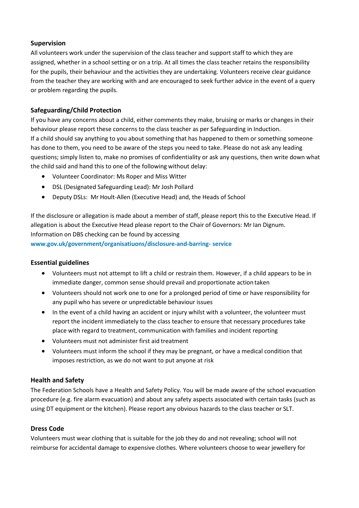#### **Supervision**

All volunteers work under the supervision of the class teacher and support staff to which they are assigned, whether in a school setting or on a trip. At all times the class teacher retains the responsibility for the pupils, their behaviour and the activities they are undertaking. Volunteers receive clear guidance from the teacher they are working with and are encouraged to seek further advice in the event of a query or problem regarding the pupils.

#### **Safeguarding/Child Protection**

If you have any concerns about a child, either comments they make, bruising or marks or changes in their behaviour please report these concerns to the class teacher as per Safeguarding in Induction. If a child should say anything to you about something that has happened to them or something someone has done to them, you need to be aware of the steps you need to take. Please do not ask any leading questions; simply listen to, make no promises of confidentiality or ask any questions, then write down what the child said and hand this to one of the following without delay:

- Volunteer Coordinator: Ms Roper and Miss Witter
- DSL (Designated Safeguarding Lead): Mr Josh Pollard
- Deputy DSLs: Mr Hoult-Allen (Executive Head) and, the Heads of School

If the disclosure or allegation is made about a member of staff, please report this to the Executive Head. If allegation is about the Executive Head please report to the Chair of Governors: Mr Ian Dignum. Information on DBS checking can be found by accessing

**[www.gov.uk/government/organisatiuons/disclosure-and-barring-](http://www.gov.uk/government/organisatiuons/disclosure-and-barring-service) [service](http://www.gov.uk/government/organisatiuons/disclosure-and-barring-service)**

#### **Essential guidelines**

- Volunteers must not attempt to lift a child or restrain them. However, if a child appears to be in immediate danger, common sense should prevail and proportionate action taken
- Volunteers should not work one to one for a prolonged period of time or have responsibility for any pupil who has severe or unpredictable behaviour issues
- In the event of a child having an accident or injury whilst with a volunteer, the volunteer must report the incident immediately to the class teacher to ensure that necessary procedures take place with regard to treatment, communication with families and incident reporting
- Volunteers must not administer first aid treatment
- Volunteers must inform the school if they may be pregnant, or have a medical condition that imposes restriction, as we do not want to put anyone at risk

#### **Health and Safety**

The Federation Schools have a Health and Safety Policy. You will be made aware of the school evacuation procedure (e.g. fire alarm evacuation) and about any safety aspects associated with certain tasks (such as using DT equipment or the kitchen). Please report any obvious hazards to the class teacher or SLT.

#### **Dress Code**

Volunteers must wear clothing that is suitable for the job they do and not revealing; school will not reimburse for accidental damage to expensive clothes. Where volunteers choose to wear jewellery for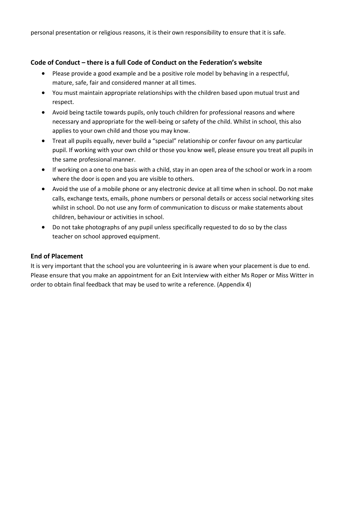personal presentation or religious reasons, it is their own responsibility to ensure that it is safe.

#### **Code of Conduct – there is a full Code of Conduct on the Federation's website**

- Please provide a good example and be a positive role model by behaving in a respectful, mature, safe, fair and considered manner at all times.
- You must maintain appropriate relationships with the children based upon mutual trust and respect.
- Avoid being tactile towards pupils, only touch children for professional reasons and where necessary and appropriate for the well-being or safety of the child. Whilst in school, this also applies to your own child and those you may know.
- Treat all pupils equally, never build a "special" relationship or confer favour on any particular pupil. If working with your own child or those you know well, please ensure you treat all pupils in the same professional manner.
- If working on a one to one basis with a child, stay in an open area of the school or work in a room where the door is open and you are visible to others.
- Avoid the use of a mobile phone or any electronic device at all time when in school. Do not make calls, exchange texts, emails, phone numbers or personal details or access social networking sites whilst in school. Do not use any form of communication to discuss or make statements about children, behaviour or activities in school.
- Do not take photographs of any pupil unless specifically requested to do so by the class teacher on school approved equipment.

#### **End of Placement**

It is very important that the school you are volunteering in is aware when your placement is due to end. Please ensure that you make an appointment for an Exit Interview with either Ms Roper or Miss Witter in order to obtain final feedback that may be used to write a reference. (Appendix 4)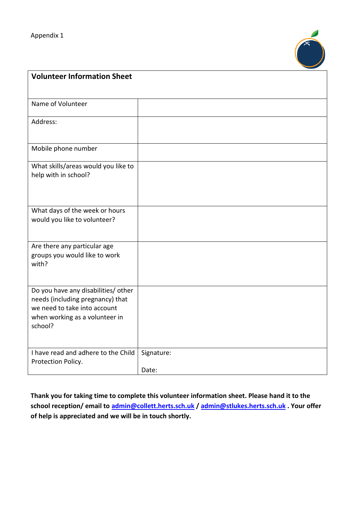

| <b>Volunteer Information Sheet</b>                                                                                                                   |                     |
|------------------------------------------------------------------------------------------------------------------------------------------------------|---------------------|
|                                                                                                                                                      |                     |
| Name of Volunteer                                                                                                                                    |                     |
| Address:                                                                                                                                             |                     |
| Mobile phone number                                                                                                                                  |                     |
| What skills/areas would you like to<br>help with in school?                                                                                          |                     |
| What days of the week or hours<br>would you like to volunteer?                                                                                       |                     |
| Are there any particular age<br>groups you would like to work<br>with?                                                                               |                     |
| Do you have any disabilities/ other<br>needs (including pregnancy) that<br>we need to take into account<br>when working as a volunteer in<br>school? |                     |
| I have read and adhere to the Child<br>Protection Policy.                                                                                            | Signature:<br>Date: |

**Thank you for taking time to complete this volunteer information sheet. Please hand it to the school reception/ email to [admin@collett.herts.sch.uk](mailto:admin@collett.herts.sch.uk) / [admin@stlukes.herts.sch.uk](mailto:admin@stlukes.herts.sch.uk) . Your offer of help is appreciated and we will be in touch shortly.**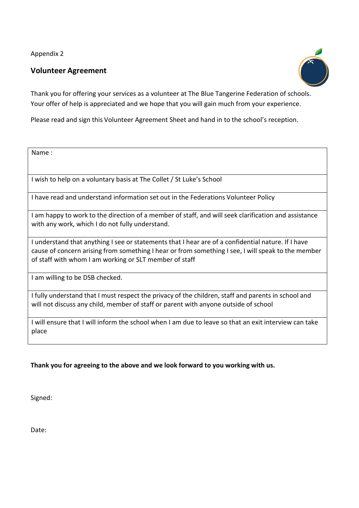Appendix 2

## **Volunteer Agreement**



Thank you for offering your services as a volunteer at The Blue Tangerine Federation of schools. Your offer of help is appreciated and we hope that you will gain much from your experience.

Please read and sign this Volunteer Agreement Sheet and hand in to the school's reception.

Name :

I wish to help on a voluntary basis at The Collet / St Luke's School

I have read and understand information set out in the Federations Volunteer Policy

I am happy to work to the direction of a member of staff, and will seek clarification and assistance with any work, which I do not fully understand.

I understand that anything I see or statements that I hear are of a confidential nature. If I have cause of concern arising from something I hear or from something I see, I will speak to the member of staff with whom I am working or SLT member of staff

I am willing to be DSB checked.

I fully understand that I must respect the privacy of the children, staff and parents in school and will not discuss any child, member of staff or parent with anyone outside of school

I will ensure that I will inform the school when I am due to leave so that an exit interview can take place

#### **Thank you for agreeing to the above and we look forward to you working with us.**

Signed:

Date: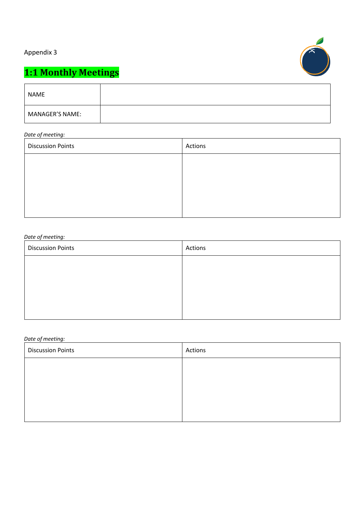# Appendix 3



# **1:1 Monthly Meetings**

| <b>NAME</b>     |  |
|-----------------|--|
| MANAGER'S NAME: |  |

#### *Date of meeting:*

| <b>Discussion Points</b> | Actions |
|--------------------------|---------|
|                          |         |
|                          |         |
|                          |         |
|                          |         |
|                          |         |

#### *Date of meeting:*

| <b>Discussion Points</b> | Actions |
|--------------------------|---------|
|                          |         |
|                          |         |
|                          |         |
|                          |         |

#### *Date of meeting:*

| <b>Discussion Points</b> | Actions |
|--------------------------|---------|
|                          |         |
|                          |         |
|                          |         |
|                          |         |
|                          |         |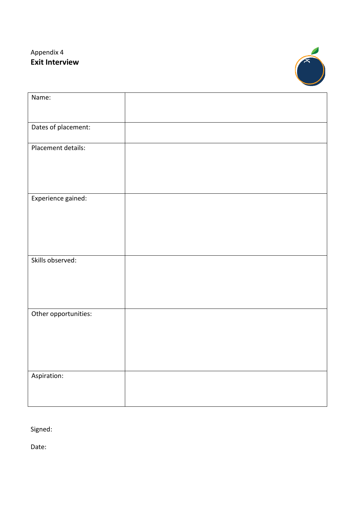# Appendix 4 **Exit Interview**



| Name:                |  |
|----------------------|--|
|                      |  |
| Dates of placement:  |  |
|                      |  |
| Placement details:   |  |
|                      |  |
|                      |  |
|                      |  |
| Experience gained:   |  |
|                      |  |
|                      |  |
|                      |  |
|                      |  |
| Skills observed:     |  |
|                      |  |
|                      |  |
|                      |  |
| Other opportunities: |  |
|                      |  |
|                      |  |
|                      |  |
|                      |  |
| Aspiration:          |  |
|                      |  |
|                      |  |

Signed:

Date: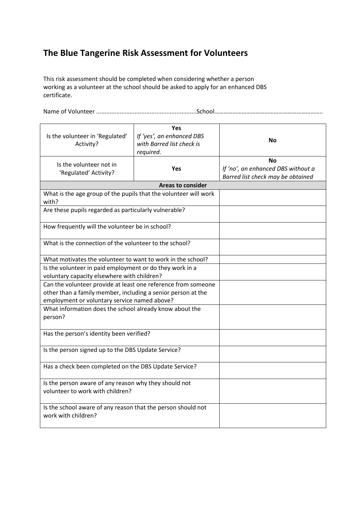# **The Blue Tangerine Risk Assessment for Volunteers**

This risk assessment should be completed when considering whether a person working as a volunteer at the school should be asked to apply for an enhanced DBS certificate.

Name of Volunteer ............................................................School……………………………………………………………..

| Is the volunteer in 'Regulated'<br>Activity?                                              | Yes<br>If 'yes', an enhanced DBS<br>with Barred list check is<br>required. | Nο                                                                                   |
|-------------------------------------------------------------------------------------------|----------------------------------------------------------------------------|--------------------------------------------------------------------------------------|
| Is the volunteer not in<br>'Regulated' Activity?                                          | <b>Yes</b>                                                                 | <b>No</b><br>If 'no', an enhanced DBS without a<br>Barred list check may be obtained |
|                                                                                           | <b>Areas to consider</b>                                                   |                                                                                      |
| What is the age group of the pupils that the volunteer will work<br>with?                 |                                                                            |                                                                                      |
| Are these pupils regarded as particularly vulnerable?                                     |                                                                            |                                                                                      |
| How frequently will the volunteer be in school?                                           |                                                                            |                                                                                      |
| What is the connection of the volunteer to the school?                                    |                                                                            |                                                                                      |
| What motivates the volunteer to want to work in the school?                               |                                                                            |                                                                                      |
| Is the volunteer in paid employment or do they work in a                                  |                                                                            |                                                                                      |
| voluntary capacity elsewhere with children?                                               |                                                                            |                                                                                      |
| Can the volunteer provide at least one reference from someone                             |                                                                            |                                                                                      |
| other than a family member, including a senior person at the                              |                                                                            |                                                                                      |
| employment or voluntary service named above?                                              |                                                                            |                                                                                      |
| What information does the school already know about the<br>person?                        |                                                                            |                                                                                      |
| Has the person's identity been verified?                                                  |                                                                            |                                                                                      |
| Is the person signed up to the DBS Update Service?                                        |                                                                            |                                                                                      |
| Has a check been completed on the DBS Update Service?                                     |                                                                            |                                                                                      |
| Is the person aware of any reason why they should not<br>volunteer to work with children? |                                                                            |                                                                                      |
| Is the school aware of any reason that the person should not<br>work with children?       |                                                                            |                                                                                      |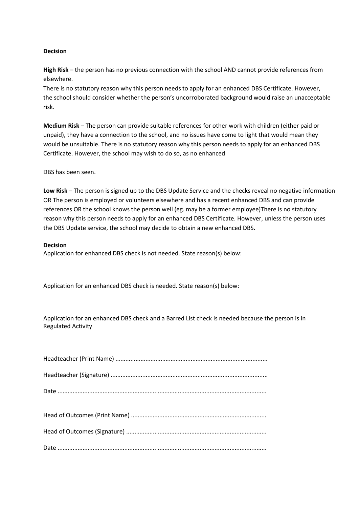#### **Decision**

**High Risk** – the person has no previous connection with the school AND cannot provide references from elsewhere.

There is no statutory reason why this person needs to apply for an enhanced DBS Certificate. However, the school should consider whether the person's uncorroborated background would raise an unacceptable risk.

**Medium Risk** – The person can provide suitable references for other work with children (either paid or unpaid), they have a connection to the school, and no issues have come to light that would mean they would be unsuitable. There is no statutory reason why this person needs to apply for an enhanced DBS Certificate. However, the school may wish to do so, as no enhanced

DBS has been seen.

**Low Risk** – The person is signed up to the DBS Update Service and the checks reveal no negative information OR The person is employed or volunteers elsewhere and has a recent enhanced DBS and can provide references OR the school knows the person well (eg. may be a former employee)There is no statutory reason why this person needs to apply for an enhanced DBS Certificate. However, unless the person uses the DBS Update service, the school may decide to obtain a new enhanced DBS.

#### **Decision**

Application for enhanced DBS check is not needed. State reason(s) below:

Application for an enhanced DBS check is needed. State reason(s) below:

Application for an enhanced DBS check and a Barred List check is needed because the person is in Regulated Activity